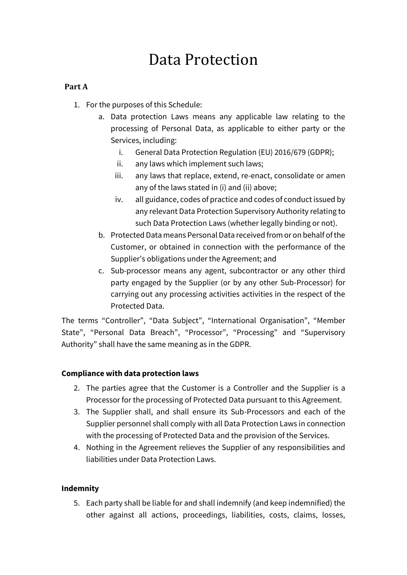# Data Protection

# **Part A**

- 1. For the purposes of this Schedule:
	- a. Data protection Laws means any applicable law relating to the processing of Personal Data, as applicable to either party or the Services, including:
		- i. General Data Protection Regulation (EU) 2016/679 (GDPR);
		- ii. any laws which implement such laws;
		- iii. any laws that replace, extend, re-enact, consolidate or amen any of the laws stated in (i) and (ii) above;
		- iv. all guidance, codes of practice and codes of conduct issued by any relevant Data Protection Supervisory Authority relating to such Data Protection Laws (whether legally binding or not).
	- b. Protected Data means Personal Data received from or on behalf of the Customer, or obtained in connection with the performance of the Supplier's obligations under the Agreement; and
	- c. Sub-processor means any agent, subcontractor or any other third party engaged by the Supplier (or by any other Sub-Processor) for carrying out any processing activities activities in the respect of the Protected Data.

The terms "Controller", "Data Subject", "International Organisation", "Member State", "Personal Data Breach", "Processor", "Processing" and "Supervisory Authority" shall have the same meaning as in the GDPR.

## **Compliance with data protection laws**

- 2. The parties agree that the Customer is a Controller and the Supplier is a Processor for the processing of Protected Data pursuant to this Agreement.
- 3. The Supplier shall, and shall ensure its Sub-Processors and each of the Supplier personnel shall comply with all Data Protection Laws in connection with the processing of Protected Data and the provision of the Services.
- 4. Nothing in the Agreement relieves the Supplier of any responsibilities and liabilities under Data Protection Laws.

## **Indemnity**

5. Each party shall be liable for and shall indemnify (and keep indemnified) the other against all actions, proceedings, liabilities, costs, claims, losses,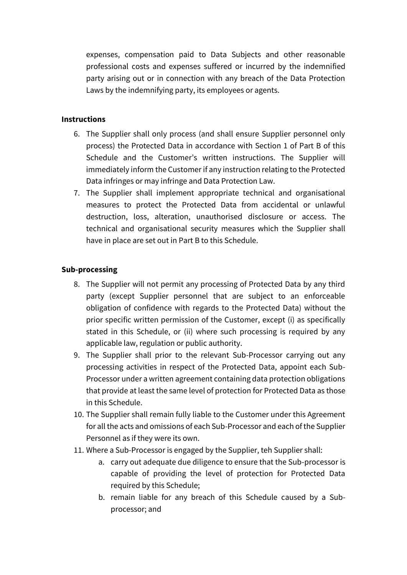expenses, compensation paid to Data Subjects and other reasonable professional costs and expenses suffered or incurred by the indemnified party arising out or in connection with any breach of the Data Protection Laws by the indemnifying party, its employees or agents.

### **Instructions**

- 6. The Supplier shall only process (and shall ensure Supplier personnel only process) the Protected Data in accordance with Section 1 of Part B of this Schedule and the Customer's written instructions. The Supplier will immediately inform the Customer if any instruction relating to the Protected Data infringes or may infringe and Data Protection Law.
- 7. The Supplier shall implement appropriate technical and organisational measures to protect the Protected Data from accidental or unlawful destruction, loss, alteration, unauthorised disclosure or access. The technical and organisational security measures which the Supplier shall have in place are set out in Part B to this Schedule.

### **Sub-processing**

- 8. The Supplier will not permit any processing of Protected Data by any third party (except Supplier personnel that are subject to an enforceable obligation of confidence with regards to the Protected Data) without the prior specific written permission of the Customer, except (i) as specifically stated in this Schedule, or (ii) where such processing is required by any applicable law, regulation or public authority.
- 9. The Supplier shall prior to the relevant Sub-Processor carrying out any processing activities in respect of the Protected Data, appoint each Sub-Processor under a written agreement containing data protection obligations that provide at least the same level of protection for Protected Data as those in this Schedule.
- 10. The Supplier shall remain fully liable to the Customer under this Agreement for all the acts and omissions of each Sub-Processor and each of the Supplier Personnel as if they were its own.
- 11. Where a Sub-Processor is engaged by the Supplier, teh Supplier shall:
	- a. carry out adequate due diligence to ensure that the Sub-processor is capable of providing the level of protection for Protected Data required by this Schedule;
	- b. remain liable for any breach of this Schedule caused by a Subprocessor; and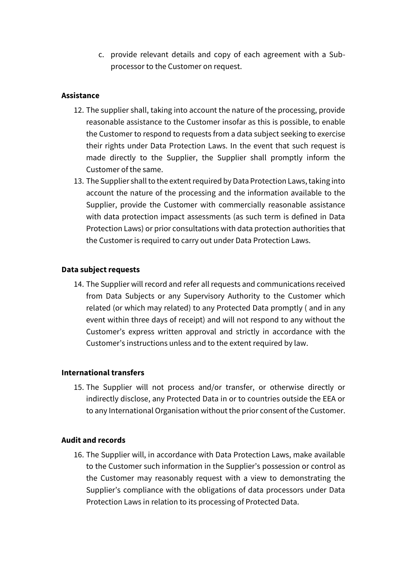c. provide relevant details and copy of each agreement with a Subprocessor to the Customer on request.

### **Assistance**

- 12. The supplier shall, taking into account the nature of the processing, provide reasonable assistance to the Customer insofar as this is possible, to enable the Customer to respond to requests from a data subject seeking to exercise their rights under Data Protection Laws. In the event that such request is made directly to the Supplier, the Supplier shall promptly inform the Customer of the same.
- 13. The Supplier shall to the extent required by Data Protection Laws, taking into account the nature of the processing and the information available to the Supplier, provide the Customer with commercially reasonable assistance with data protection impact assessments (as such term is defined in Data Protection Laws) or prior consultations with data protection authorities that the Customer is required to carry out under Data Protection Laws.

### **Data subject requests**

14. The Supplier will record and refer all requests and communications received from Data Subjects or any Supervisory Authority to the Customer which related (or which may related) to any Protected Data promptly ( and in any event within three days of receipt) and will not respond to any without the Customer's express written approval and strictly in accordance with the Customer's instructions unless and to the extent required by law.

#### **International transfers**

15. The Supplier will not process and/or transfer, or otherwise directly or indirectly disclose, any Protected Data in or to countries outside the EEA or to any International Organisation without the prior consent of the Customer.

#### **Audit and records**

16. The Supplier will, in accordance with Data Protection Laws, make available to the Customer such information in the Supplier's possession or control as the Customer may reasonably request with a view to demonstrating the Supplier's compliance with the obligations of data processors under Data Protection Laws in relation to its processing of Protected Data.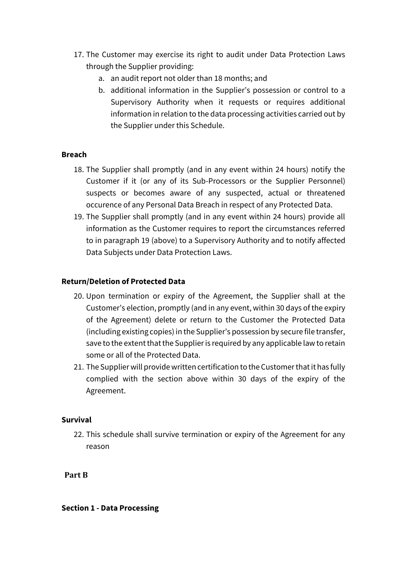- 17. The Customer may exercise its right to audit under Data Protection Laws through the Supplier providing:
	- a. an audit report not older than 18 months; and
	- b. additional information in the Supplier's possession or control to a Supervisory Authority when it requests or requires additional information in relation to the data processing activities carried out by the Supplier under this Schedule.

### **Breach**

- 18. The Supplier shall promptly (and in any event within 24 hours) notify the Customer if it (or any of its Sub-Processors or the Supplier Personnel) suspects or becomes aware of any suspected, actual or threatened occurence of any Personal Data Breach in respect of any Protected Data.
- 19. The Supplier shall promptly (and in any event within 24 hours) provide all information as the Customer requires to report the circumstances referred to in paragraph 19 (above) to a Supervisory Authority and to notify affected Data Subjects under Data Protection Laws.

### **Return/Deletion of Protected Data**

- 20. Upon termination or expiry of the Agreement, the Supplier shall at the Customer's election, promptly (and in any event, within 30 days of the expiry of the Agreement) delete or return to the Customer the Protected Data (including existing copies) in the Supplier's possession by secure file transfer, save to the extent that the Supplier is required by any applicable law to retain some or all of the Protected Data.
- 21. The Supplier will provide written certification to the Customer that it has fully complied with the section above within 30 days of the expiry of the Agreement.

#### **Survival**

22. This schedule shall survive termination or expiry of the Agreement for any reason

**Part B**

#### **Section 1 - Data Processing**